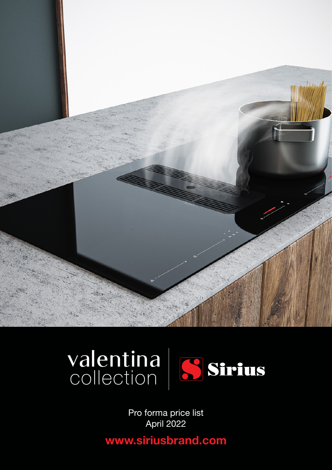



Pro forma price list April 2022

**www.siriusbrand.com**